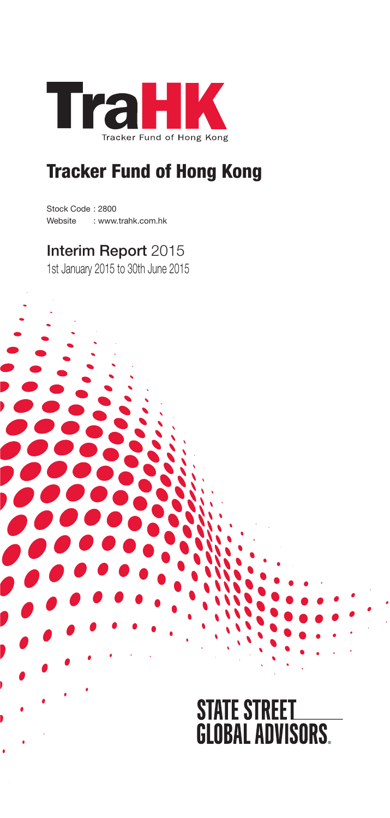

Stock Code : 2800 Website : www.trahk.com.hk

# Interim Report 2015

1st January 2015 to 30th June 2015

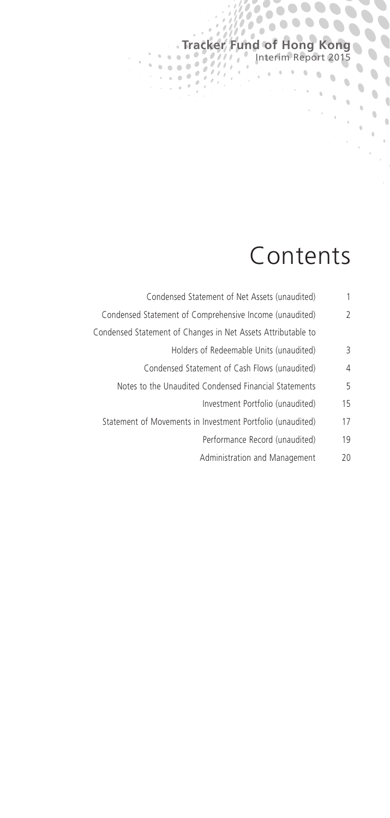# Contents

**Tracker Fund of Hong Kong**

 $\mathcal{O}_{\mathcal{A}}$ 

'n

 $\alpha$ 

Interim Report 2015

 $10000$ 

Ċ

Ò

 $\begin{array}{c} \bullet \\ \bullet \end{array}$  $\overline{\phantom{a}}$ 

 $\ddot{\phantom{a}}$ 

| Condensed Statement of Net Assets (unaudited)                | 1  |
|--------------------------------------------------------------|----|
| Condensed Statement of Comprehensive Income (unaudited)      | 2  |
| Condensed Statement of Changes in Net Assets Attributable to |    |
| Holders of Redeemable Units (unaudited)                      | 3  |
| Condensed Statement of Cash Flows (unaudited)                | 4  |
| Notes to the Unaudited Condensed Financial Statements        | 5  |
| Investment Portfolio (unaudited)                             | 15 |
| Statement of Movements in Investment Portfolio (unaudited)   | 17 |
| Performance Record (unaudited)                               | 19 |
| Administration and Management                                | 20 |
|                                                              |    |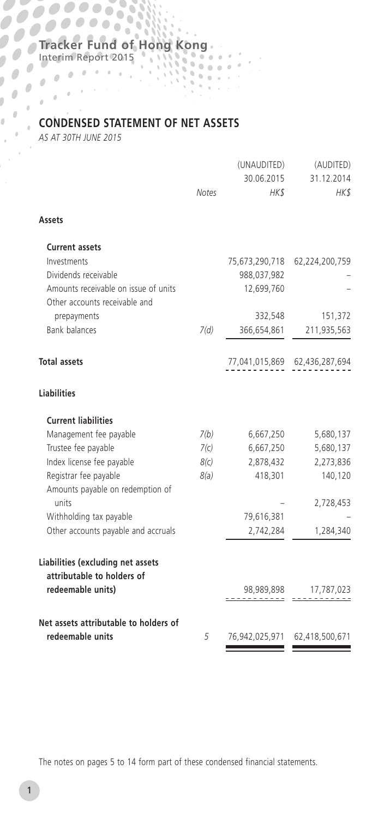53 Ó

Interim Report 2015

Ď.  $\mathbf{r}$  $\alpha$  $\mathcal{L}$ 

# **CONDENSED STATEMENT OF NET ASSETS**

*AS AT 30TH JUNE 2015*

| Notes | (UNAUDITED)<br>30.06.2015<br>HK\$ | (AUDITED)<br>31.12.2014<br>HK\$                   |
|-------|-----------------------------------|---------------------------------------------------|
|       |                                   |                                                   |
|       |                                   |                                                   |
|       |                                   | 75,673,290,718 62,224,200,759                     |
|       |                                   |                                                   |
|       |                                   |                                                   |
|       | 332,548                           | 151,372                                           |
| 7(d)  | 366,654,861                       | 211,935,563                                       |
|       |                                   | 77,041,015,869 62,436,287,694                     |
|       |                                   |                                                   |
|       |                                   |                                                   |
| 7(b)  | 6,667,250                         | 5,680,137                                         |
| 7(c)  | 6,667,250                         | 5,680,137                                         |
|       |                                   | 2,273,836                                         |
|       |                                   | 140,120                                           |
|       |                                   | 2,728,453                                         |
|       | 79,616,381                        |                                                   |
|       | 2,742,284                         | 1,284,340                                         |
|       |                                   |                                                   |
|       |                                   | 98,989,898 17,787,023                             |
| 5     | 76,942,025,971                    | 62,418,500,671                                    |
|       | 8(c)<br>8(a)                      | 988,037,982<br>12,699,760<br>2,878,432<br>418,301 |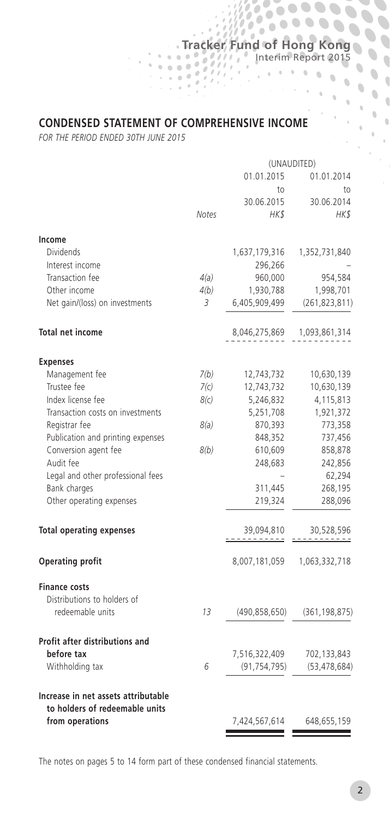## **CONDENSED STATEMENT OF COMPREHENSIVE INCOME**

**Tracker Fund of Hong Kong**

 $\alpha$  $\mathfrak{g}$ 

 $\alpha$  $\ddot{\phantom{a}}$  $\mathbf 0$  $\overline{\mathbb{Q}}$  $\alpha$  $\ddot{\phantom{a}}$  $\theta$ 

 $\overline{\phantom{a}}$  $\hat{\mathbf{u}}$  $\bullet$  (  $\bullet$  $\mathbb{Q}$ 

 $\overline{\phantom{a}}$ 

 $\mathcal{O}_{\mathcal{A}}$ 

Interim Report 2015

b

*FOR THE PERIOD ENDED 30TH JUNE 2015*

|                                                   |              | (UNAUDITED)    |                 |  |
|---------------------------------------------------|--------------|----------------|-----------------|--|
|                                                   |              | 01.01.2015     | 01.01.2014      |  |
|                                                   |              | to             | to              |  |
|                                                   |              | 30.06.2015     | 30.06.2014      |  |
|                                                   | <b>Notes</b> | HK\$           | HK\$            |  |
| Income                                            |              |                |                 |  |
| Dividends                                         |              | 1,637,179,316  | 1,352,731,840   |  |
| Interest income                                   |              | 296,266        |                 |  |
| Transaction fee                                   | 4(a)         | 960,000        | 954,584         |  |
| Other income                                      | 4(b)         | 1,930,788      | 1,998,701       |  |
| Net gain/(loss) on investments                    | 3            | 6,405,909,499  | (261, 823, 811) |  |
| <b>Total net income</b>                           |              | 8,046,275,869  | 1,093,861,314   |  |
| <b>Expenses</b>                                   |              |                |                 |  |
| Management fee                                    | 7(b)         | 12,743,732     | 10,630,139      |  |
| Trustee fee                                       | 7(c)         | 12,743,732     | 10,630,139      |  |
| Index license fee                                 | 8(c)         | 5,246,832      | 4,115,813       |  |
| Transaction costs on investments                  |              | 5,251,708      | 1,921,372       |  |
| Registrar fee                                     | 8(a)         | 870,393        | 773,358         |  |
| Publication and printing expenses                 |              | 848,352        | 737,456         |  |
| Conversion agent fee                              | 8(b)         | 610,609        | 858,878         |  |
| Audit fee                                         |              | 248,683        | 242,856         |  |
| Legal and other professional fees                 |              |                | 62,294          |  |
| Bank charges                                      |              | 311,445        | 268,195         |  |
| Other operating expenses                          |              | 219,324        | 288,096         |  |
| <b>Total operating expenses</b>                   |              | 39,094,810     | 30,528,596      |  |
| <b>Operating profit</b>                           |              | 8,007,181,059  | 1,063,332,718   |  |
| <b>Finance costs</b>                              |              |                |                 |  |
| Distributions to holders of                       |              |                |                 |  |
| redeemable units                                  | 13           | (490,858,650)  | (361, 198, 875) |  |
| Profit after distributions and                    |              |                |                 |  |
| before tax                                        |              | 7,516,322,409  | 702,133,843     |  |
| Withholding tax                                   | 6            | (91, 754, 795) | (53, 478, 684)  |  |
| Increase in net assets attributable               |              |                |                 |  |
| to holders of redeemable units<br>from operations |              | 7,424,567,614  | 648,655,159     |  |
|                                                   |              |                |                 |  |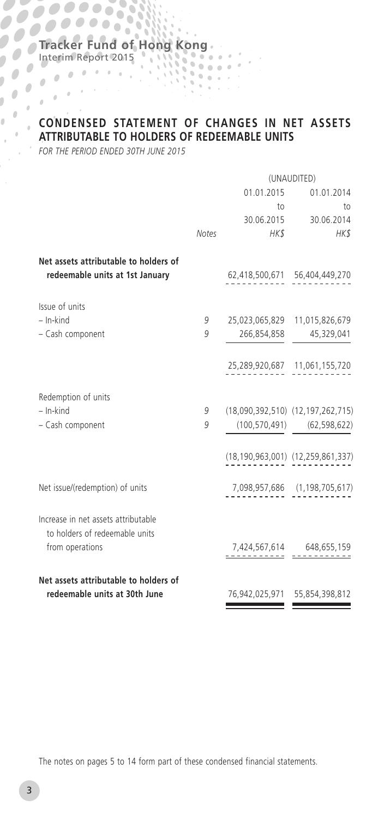Ó

Interim Report 2015

 $\bullet$ 

 $\mathcal{L}^{\mathcal{L}}_{\mathcal{L}}(\mathcal{L}^{\mathcal{L}}_{\mathcal{L}}(\mathcal{L}^{\mathcal{L}}_{\mathcal{L}}))\geq 0$ Ď.  $\mathbf{r}$  $\Delta$ 

# **CONDENSED STATEMENT OF CHANGES IN NET ASSETS ATTRIBUTABLE TO HOLDERS OF REDEEMABLE UNITS**

*FOR THE PERIOD ENDED 30TH JUNE 2015*

|                                                                          | (UNAUDITED) |      |                                    |
|--------------------------------------------------------------------------|-------------|------|------------------------------------|
|                                                                          |             |      | 01.01.2015 01.01.2014              |
|                                                                          |             | to   | to                                 |
|                                                                          |             |      | 30.06.2015 30.06.2014              |
|                                                                          | Notes       | HK\$ | $H K$ \$                           |
| Net assets attributable to holders of<br>redeemable units at 1st January |             |      | 62,418,500,671 56,404,449,270      |
| Issue of units                                                           |             |      |                                    |
| $-$ In-kind                                                              | 9           |      | 25,023,065,829 11,015,826,679      |
| - Cash component                                                         | 9           |      | 266,854,858 45,329,041             |
|                                                                          |             |      | 25,289,920,687 11,061,155,720      |
| Redemption of units                                                      |             |      |                                    |
| $-$ In-kind                                                              | 9           |      | (18,090,392,510) (12,197,262,715)  |
| - Cash component                                                         | 9           |      | $(100, 570, 491)$ $(62, 598, 622)$ |
|                                                                          |             |      | (18,190,963,001) (12,259,861,337)  |
| Net issue/(redemption) of units                                          |             |      | 7,098,957,686 (1,198,705,617)      |
| Increase in net assets attributable<br>to holders of redeemable units    |             |      |                                    |
| from operations                                                          |             |      | $7,424,567,614$ $648,655,159$      |
| Net assets attributable to holders of                                    |             |      |                                    |
| redeemable units at 30th June                                            |             |      | 76,942,025,971 55,854,398,812      |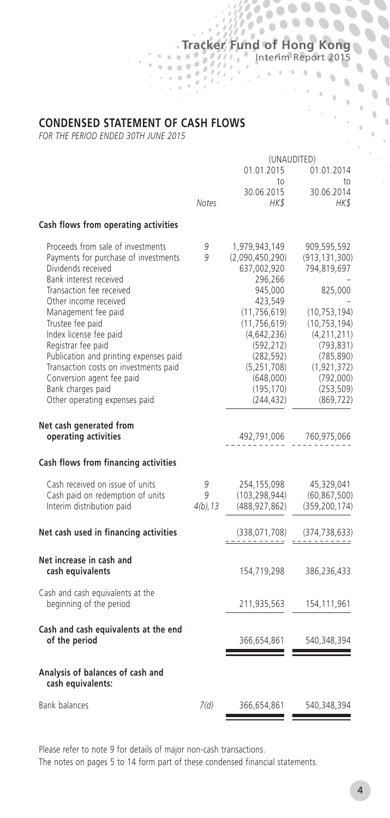# **Tracker Fund of Hong Kong** Interim Report 2015

D b D 0

 $\alpha$  $\alpha$ 

 $\alpha$  $\alpha$  $\bar{0}$  $\overline{\mathbb{C}}$  $\Delta$ 

 $\overline{\phantom{a}}$  $\ddot{\phantom{0}}$  $\ddot{\phantom{0}}$  $\overline{\phantom{a}}$  $\hat{\mathbf{u}}$  $\begin{array}{c} \bullet \\ \bullet \end{array}$ 

 $\overline{\phantom{a}}$ 

#### **CONDENSED STATEMENT OF CASH FLOWS**

*FOR THE PERIOD ENDED 30TH JUNE 2015*

|                                                                    | (UNAUDITED)  |                         |                         |
|--------------------------------------------------------------------|--------------|-------------------------|-------------------------|
|                                                                    |              | 01.01.2015              | 01.01.2014              |
|                                                                    |              | to                      | to                      |
|                                                                    |              | 30.06.2015              | 30.06.2014              |
|                                                                    | <b>Notes</b> | HKS                     | HK\$                    |
| Cash flows from operating activities                               |              |                         |                         |
| Proceeds from sale of investments                                  | 9            | 1,979,943,149           | 909,595,592             |
| Payments for purchase of investments                               | 9            | (2,090,450,290)         | (913, 131, 300)         |
| Dividends received                                                 |              | 637,002,920             | 794,819,697             |
| Bank interest received                                             |              | 296,266                 |                         |
| Transaction fee received                                           |              | 945,000                 | 825,000                 |
| Other income received                                              |              | 423,549                 |                         |
| Management fee paid                                                |              | (11, 756, 619)          | (10, 753, 194)          |
| Trustee fee paid                                                   |              | (11, 756, 619)          | (10, 753, 194)          |
| Index license fee paid                                             |              | (4,642,236)             | (4, 211, 211)           |
| Registrar fee paid                                                 |              | (592, 212)              | (793, 831)              |
| Publication and printing expenses paid                             |              | (282, 592)              | (785, 890)              |
| Transaction costs on investments paid<br>Conversion agent fee paid |              | (5,251,708)             | (1, 921, 372)           |
| Bank charges paid                                                  |              | (648,000)<br>(195, 170) | (792,000)<br>(253, 509) |
| Other operating expenses paid                                      |              | (244, 432)              | (869, 722)              |
|                                                                    |              |                         |                         |
| Net cash generated from                                            |              |                         |                         |
| operating activities                                               |              | 492,791,006             | 760,975,066             |
|                                                                    |              |                         |                         |
| Cash flows from financing activities                               |              |                         |                         |
| Cash received on issue of units                                    | 9            | 254,155,098             | 45,329,041              |
| Cash paid on redemption of units                                   | g            | (103, 298, 944)         | (60, 867, 500)          |
| Interim distribution paid                                          | $4(b)$ , 13  | (488, 927, 862)         | (359, 200, 174)         |
|                                                                    |              |                         |                         |
| Net cash used in financing activities                              |              | (338,071,708)           | (374,738,633)           |
| Net increase in cash and                                           |              |                         |                         |
| cash equivalents                                                   |              | 154,719,298             | 386,236,433             |
| Cash and cash equivalents at the                                   |              |                         |                         |
| beginning of the period                                            |              | 211,935,563             | 154,111,961             |
| Cash and cash equivalents at the end                               |              |                         |                         |
| of the period                                                      |              | 366,654,861             | 540,348,394             |
| Analysis of balances of cash and<br>cash equivalents:              |              |                         |                         |
| <b>Bank balances</b>                                               | 7(d)         | 366,654,861             | 540,348,394             |
|                                                                    |              |                         |                         |

Please refer to note 9 for details of major non-cash transactions.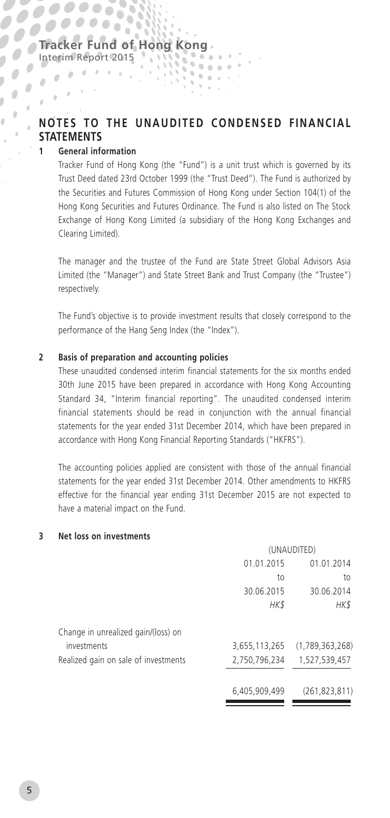$\sum_{i=1}^{n}$ 

## **NOTES TO THE UNAUDITED CONDENSED FINANCIAL STATEMENTS**

#### **1 General information**

 $\alpha$  , and the state  $\alpha$ 

 $\mathcal{L}^{\mathcal{L}}(\mathcal{L}^{\mathcal{L}})$  and  $\mathcal{L}^{\mathcal{L}}(\mathcal{L}^{\mathcal{L}})$ 

 $\frac{1}{2}$ 

 $\frac{1}{2}$  $\sqrt{2}$ 

 $\overline{a}$  $\hat{\theta}$  $\pm$  $\mathbf{r}$  $\alpha$  $\alpha$ 

Ď

Tracker Fund of Hong Kong (the "Fund") is a unit trust which is governed by its Trust Deed dated 23rd October 1999 (the "Trust Deed"). The Fund is authorized by the Securities and Futures Commission of Hong Kong under Section 104(1) of the Hong Kong Securities and Futures Ordinance. The Fund is also listed on The Stock Exchange of Hong Kong Limited (a subsidiary of the Hong Kong Exchanges and Clearing Limited).

The manager and the trustee of the Fund are State Street Global Advisors Asia Limited (the "Manager") and State Street Bank and Trust Company (the "Trustee") respectively.

The Fund's objective is to provide investment results that closely correspond to the performance of the Hang Seng Index (the "Index").

#### **2 Basis of preparation and accounting policies**

These unaudited condensed interim financial statements for the six months ended 30th June 2015 have been prepared in accordance with Hong Kong Accounting Standard 34, "Interim financial reporting". The unaudited condensed interim financial statements should be read in conjunction with the annual financial statements for the year ended 31st December 2014, which have been prepared in accordance with Hong Kong Financial Reporting Standards ("HKFRS").

The accounting policies applied are consistent with those of the annual financial statements for the year ended 31st December 2014. Other amendments to HKFRS effective for the financial year ending 31st December 2015 are not expected to have a material impact on the Fund.

#### **3 Net loss on investments**

|                                      | (UNAUDITED)   |                 |  |
|--------------------------------------|---------------|-----------------|--|
|                                      | 01.01.2015    | 01.01.2014      |  |
|                                      | to            | to              |  |
|                                      | 30.06.2015    | 30.06.2014      |  |
|                                      | HK\$          | HK\$            |  |
| Change in unrealized gain/(loss) on  |               |                 |  |
| investments                          | 3,655,113,265 | (1,789,363,268) |  |
| Realized gain on sale of investments | 2,750,796,234 | 1,527,539,457   |  |
|                                      | 6,405,909,499 | (261, 823, 811) |  |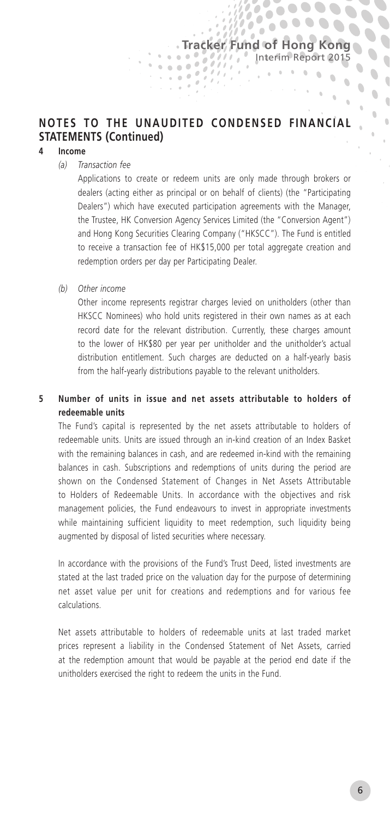b  $\overline{a}$ 

 $\bullet$  $\ddot{\phantom{a}}$  $\overline{a}$ 

 $\ddot{\phantom{a}}$  $\alpha$  $\mathbb{R}$ 

# **NOTES TO THE UNAUDITED CONDENSED FINANCIAL STATEMENTS (Continued)**

 $\alpha$ 

#### **4 Income**

#### *(a) Transaction fee*

Applications to create or redeem units are only made through brokers or dealers (acting either as principal or on behalf of clients) (the "Participating Dealers") which have executed participation agreements with the Manager, the Trustee, HK Conversion Agency Services Limited (the "Conversion Agent") and Hong Kong Securities Clearing Company ("HKSCC"). The Fund is entitled to receive a transaction fee of HK\$15,000 per total aggregate creation and redemption orders per day per Participating Dealer.

*(b) Other income*

Other income represents registrar charges levied on unitholders (other than HKSCC Nominees) who hold units registered in their own names as at each record date for the relevant distribution. Currently, these charges amount to the lower of HK\$80 per year per unitholder and the unitholder's actual distribution entitlement. Such charges are deducted on a half-yearly basis from the half-yearly distributions payable to the relevant unitholders.

#### **5 Number of units in issue and net assets attributable to holders of redeemable units**

The Fund's capital is represented by the net assets attributable to holders of redeemable units. Units are issued through an in-kind creation of an Index Basket with the remaining balances in cash, and are redeemed in-kind with the remaining balances in cash. Subscriptions and redemptions of units during the period are shown on the Condensed Statement of Changes in Net Assets Attributable to Holders of Redeemable Units. In accordance with the objectives and risk management policies, the Fund endeavours to invest in appropriate investments while maintaining sufficient liquidity to meet redemption, such liquidity being augmented by disposal of listed securities where necessary.

In accordance with the provisions of the Fund's Trust Deed, listed investments are stated at the last traded price on the valuation day for the purpose of determining net asset value per unit for creations and redemptions and for various fee calculations.

Net assets attributable to holders of redeemable units at last traded market prices represent a liability in the Condensed Statement of Net Assets, carried at the redemption amount that would be payable at the period end date if the unitholders exercised the right to redeem the units in the Fund.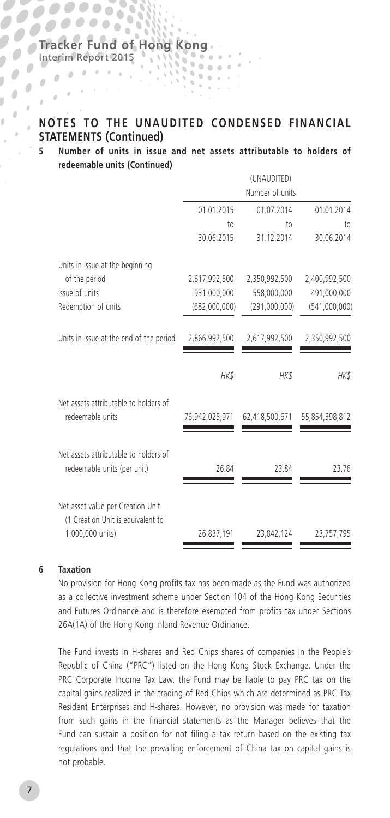53 ó

Interim Report 2015

 $\alpha$  , and the state  $\alpha$ 

 $\mathbb{R}^{d-1}$ 

 $\frac{1}{\sqrt{2}}$ 

 $\frac{1}{2}$  $\frac{1}{2}$ 

 $\overline{a}$  $\lambda$  $\theta$  $\mathbf{r}$  $\alpha$  $\alpha$ 

 $\mathbf{r}$ 

Ď

# **NOTES TO THE UNAUDITED CONDENSED FINANCIAL STATEMENTS (Continued)**

**5 Number of units in issue and net assets attributable to holders of redeemable units (Continued)**

|                                                                        |                               | (UNAUDITED)<br>Number of units |                               |
|------------------------------------------------------------------------|-------------------------------|--------------------------------|-------------------------------|
|                                                                        | 01.01.2015                    | 01.07.2014                     | 01.01.2014                    |
|                                                                        | 10 <sub>1</sub><br>30.06.2015 | 10 <sub>o</sub><br>31.12.2014  | 10 <sub>1</sub><br>30.06.2014 |
| Units in issue at the beginning                                        |                               |                                |                               |
| of the period                                                          | 2,617,992,500                 | 2,350,992,500                  | 2,400,992,500                 |
| Issue of units                                                         | 931,000,000                   | 558,000,000                    | 491,000,000                   |
| Redemption of units                                                    | (682,000,000)                 | (291,000,000)                  | (541,000,000)                 |
| Units in issue at the end of the period                                | 2,866,992,500                 | 2,617,992,500                  | 2,350,992,500                 |
|                                                                        | HK\$                          | HK\$                           | HK\$                          |
| Net assets attributable to holders of<br>redeemable units              | 76,942,025,971                | 62,418,500,671                 | 55,854,398,812                |
| Net assets attributable to holders of<br>redeemable units (per unit)   | 26.84                         | 23.84                          | 23.76                         |
| Net asset value per Creation Unit<br>(1 Creation Unit is equivalent to |                               |                                |                               |
| 1,000,000 units)                                                       | 26,837,191                    | 23,842,124                     | 23,757,795                    |

#### **6 Taxation**

No provision for Hong Kong profits tax has been made as the Fund was authorized as a collective investment scheme under Section 104 of the Hong Kong Securities and Futures Ordinance and is therefore exempted from profits tax under Sections 26A(1A) of the Hong Kong Inland Revenue Ordinance.

The Fund invests in H-shares and Red Chips shares of companies in the People's Republic of China ("PRC") listed on the Hong Kong Stock Exchange. Under the PRC Corporate Income Tax Law, the Fund may be liable to pay PRC tax on the capital gains realized in the trading of Red Chips which are determined as PRC Tax Resident Enterprises and H-shares. However, no provision was made for taxation from such gains in the financial statements as the Manager believes that the Fund can sustain a position for not filing a tax return based on the existing tax regulations and that the prevailing enforcement of China tax on capital gains is not probable.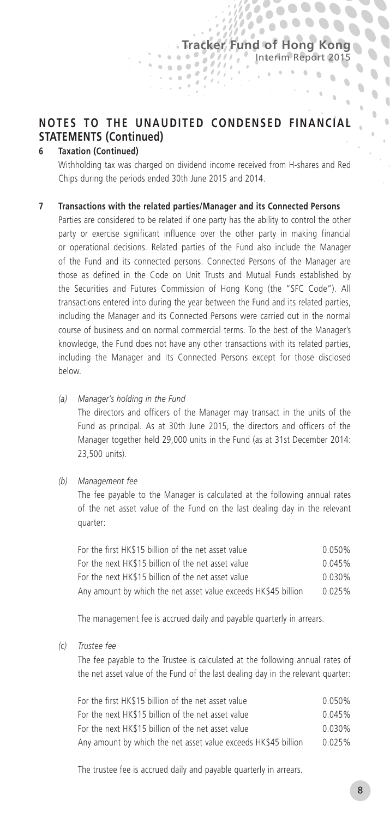$700000000$  $\bullet\bullet\bullet\bullet$ 

> $-6$  $\alpha$  $\mathbb{R}$

> > $\mathbb{R}$

 $\overline{a}$ 

# **NOTES TO THE UNAUDITED CONDENSED FINANCIAL STATEMENTS (Continued)**

#### **6 Taxation (Continued)**

Withholding tax was charged on dividend income received from H-shares and Red Chips during the periods ended 30th June 2015 and 2014.

#### **7 Transactions with the related parties/Manager and its Connected Persons**

Parties are considered to be related if one party has the ability to control the other party or exercise significant influence over the other party in making financial or operational decisions. Related parties of the Fund also include the Manager of the Fund and its connected persons. Connected Persons of the Manager are those as defined in the Code on Unit Trusts and Mutual Funds established by the Securities and Futures Commission of Hong Kong (the "SFC Code"). All transactions entered into during the year between the Fund and its related parties, including the Manager and its Connected Persons were carried out in the normal course of business and on normal commercial terms. To the best of the Manager's knowledge, the Fund does not have any other transactions with its related parties, including the Manager and its Connected Persons except for those disclosed below.

*(a) Manager's holding in the Fund*

The directors and officers of the Manager may transact in the units of the Fund as principal. As at 30th June 2015, the directors and officers of the Manager together held 29,000 units in the Fund (as at 31st December 2014: 23,500 units).

*(b) Management fee*

The fee payable to the Manager is calculated at the following annual rates of the net asset value of the Fund on the last dealing day in the relevant quarter:

| For the first HK\$15 billion of the net asset value            | 0.050% |
|----------------------------------------------------------------|--------|
| For the next HK\$15 billion of the net asset value             | 0.045% |
| For the next HK\$15 billion of the net asset value             | 0.030% |
| Any amount by which the net asset value exceeds HK\$45 billion | 0.025% |

The management fee is accrued daily and payable quarterly in arrears.

*(c) Trustee fee*

The fee payable to the Trustee is calculated at the following annual rates of the net asset value of the Fund of the last dealing day in the relevant quarter:

| For the first HK\$15 billion of the net asset value            | 0.050% |
|----------------------------------------------------------------|--------|
| For the next HK\$15 billion of the net asset value             | 0.045% |
| For the next HK\$15 billion of the net asset value             | 0.030% |
| Any amount by which the net asset value exceeds HK\$45 billion | 0.025% |

The trustee fee is accrued daily and payable quarterly in arrears.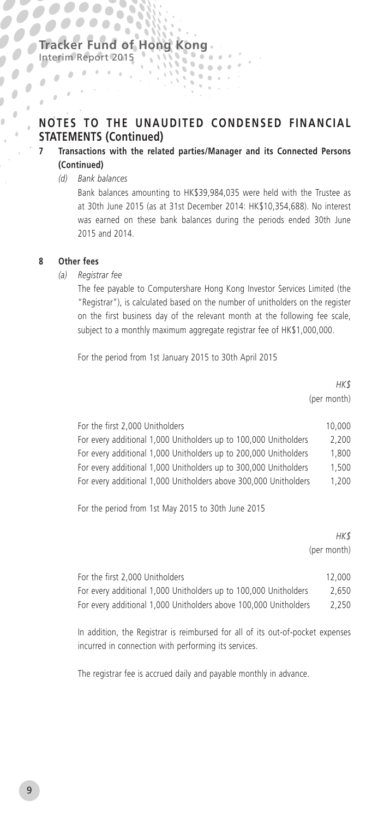## **NOTES TO THE UNAUDITED CONDENSED FINANCIAL STATEMENTS (Continued)**

#### **7 Transactions with the related parties/Manager and its Connected Persons (Continued)**

*(d) Bank balances*

 $\frac{1}{\sqrt{2}}\int_{\mathbb{R}^{3}}\frac{1}{\sqrt{2}}\left(\frac{1}{\sqrt{2}}\right)^{2}e^{-\frac{1}{2}(\sqrt{2}-\frac{1}{2})t}dt$ 

Bank balances amounting to HK\$39,984,035 were held with the Trustee as at 30th June 2015 (as at 31st December 2014: HK\$10,354,688). No interest was earned on these bank balances during the periods ended 30th June 2015 and 2014.

#### **8 Other fees**

 $\frac{1}{2}$ 

Ď

 $\frac{1}{2}$ 

 $\alpha$  $\theta$  $\theta$  .  $\mathbf{r}$  $\theta$  $\alpha$ 

#### *(a) Registrar fee*

The fee payable to Computershare Hong Kong Investor Services Limited (the "Registrar"), is calculated based on the number of unitholders on the register on the first business day of the relevant month at the following fee scale, subject to a monthly maximum aggregate registrar fee of HK\$1,000,000.

For the period from 1st January 2015 to 30th April 2015

*HK\$* (per month)

| For the first 2,000 Unitholders                                  | 10,000 |
|------------------------------------------------------------------|--------|
| For every additional 1,000 Unitholders up to 100,000 Unitholders | 2.200  |
| For every additional 1,000 Unitholders up to 200,000 Unitholders | 1.800  |
| For every additional 1,000 Unitholders up to 300,000 Unitholders | 1.500  |
| For every additional 1,000 Unitholders above 300,000 Unitholders | 1.200  |

For the period from 1st May 2015 to 30th June 2015

|                                                                  | HK\$<br>(per month) |
|------------------------------------------------------------------|---------------------|
| For the first 2.000 Unitholders                                  | 12,000              |
| For every additional 1,000 Unitholders up to 100,000 Unitholders | 2.650               |
| For every additional 1,000 Unitholders above 100,000 Unitholders | 2.250               |
|                                                                  |                     |

In addition, the Registrar is reimbursed for all of its out-of-pocket expenses incurred in connection with performing its services.

The registrar fee is accrued daily and payable monthly in advance.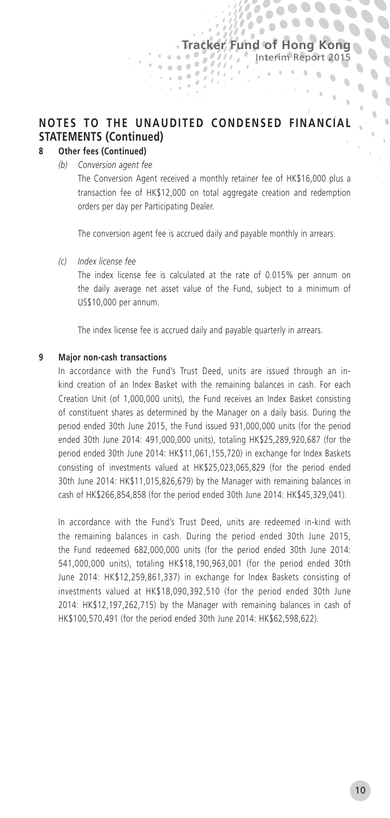$\overline{a}$ 

 $\bullet$ 

 $\overline{a}$ 

 $\sim$  $\alpha$  $\mathbb{R}$ 

# **NOTES TO THE UNAUDITED CONDENSED FINANCIAL STATEMENTS (Continued)**

 $\alpha$ 

#### **8 Other fees (Continued)**

*(b) Conversion agent fee*

The Conversion Agent received a monthly retainer fee of HK\$16,000 plus a transaction fee of HK\$12,000 on total aggregate creation and redemption orders per day per Participating Dealer.

The conversion agent fee is accrued daily and payable monthly in arrears.

*(c) Index license fee*

The index license fee is calculated at the rate of 0.015% per annum on the daily average net asset value of the Fund, subject to a minimum of US\$10,000 per annum.

The index license fee is accrued daily and payable quarterly in arrears.

#### **9 Major non-cash transactions**

In accordance with the Fund's Trust Deed, units are issued through an inkind creation of an Index Basket with the remaining balances in cash. For each Creation Unit (of 1,000,000 units), the Fund receives an Index Basket consisting of constituent shares as determined by the Manager on a daily basis. During the period ended 30th June 2015, the Fund issued 931,000,000 units (for the period ended 30th June 2014: 491,000,000 units), totaling HK\$25,289,920,687 (for the period ended 30th June 2014: HK\$11,061,155,720) in exchange for Index Baskets consisting of investments valued at HK\$25,023,065,829 (for the period ended 30th June 2014: HK\$11,015,826,679) by the Manager with remaining balances in cash of HK\$266,854,858 (for the period ended 30th June 2014: HK\$45,329,041).

In accordance with the Fund's Trust Deed, units are redeemed in-kind with the remaining balances in cash. During the period ended 30th June 2015, the Fund redeemed 682,000,000 units (for the period ended 30th June 2014: 541,000,000 units), totaling HK\$18,190,963,001 (for the period ended 30th June 2014: HK\$12,259,861,337) in exchange for Index Baskets consisting of investments valued at HK\$18,090,392,510 (for the period ended 30th June 2014: HK\$12,197,262,715) by the Manager with remaining balances in cash of HK\$100,570,491 (for the period ended 30th June 2014: HK\$62,598,622).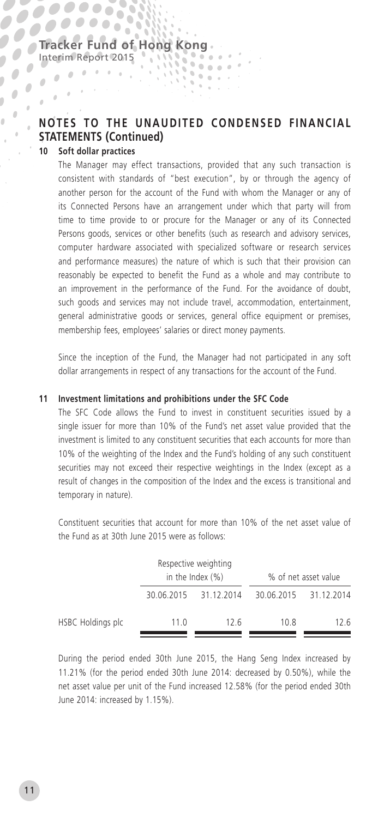# **NOTES TO THE UNAUDITED CONDENSED FINANCIAL STATEMENTS (Continued)**

#### **10 Soft dollar practices**

 $\alpha$  , and the state  $\alpha$ 

 $\frac{1}{2}$ 

 $\frac{1}{2}$  $\sqrt{2}$  $\mathbb{R}^{d-1}$ 

 $\overline{a}$  $\theta$  $\theta$  $\mathbf{r}$  $\alpha$  $\alpha$ 

Ď

The Manager may effect transactions, provided that any such transaction is consistent with standards of "best execution", by or through the agency of another person for the account of the Fund with whom the Manager or any of its Connected Persons have an arrangement under which that party will from time to time provide to or procure for the Manager or any of its Connected Persons goods, services or other benefits (such as research and advisory services, computer hardware associated with specialized software or research services and performance measures) the nature of which is such that their provision can reasonably be expected to benefit the Fund as a whole and may contribute to an improvement in the performance of the Fund. For the avoidance of doubt, such goods and services may not include travel, accommodation, entertainment, general administrative goods or services, general office equipment or premises, membership fees, employees' salaries or direct money payments.

Since the inception of the Fund, the Manager had not participated in any soft dollar arrangements in respect of any transactions for the account of the Fund.

#### **11 Investment limitations and prohibitions under the SFC Code**

The SFC Code allows the Fund to invest in constituent securities issued by a single issuer for more than 10% of the Fund's net asset value provided that the investment is limited to any constituent securities that each accounts for more than 10% of the weighting of the Index and the Fund's holding of any such constituent securities may not exceed their respective weightings in the Index (except as a result of changes in the composition of the Index and the excess is transitional and temporary in nature).

Constituent securities that account for more than 10% of the net asset value of the Fund as at 30th June 2015 were as follows:

|                   | Respective weighting<br>in the Index $(\% )$ |                       |      | % of net asset value  |
|-------------------|----------------------------------------------|-----------------------|------|-----------------------|
|                   |                                              | 30.06.2015 31.12.2014 |      | 30.06.2015 31.12.2014 |
| HSBC Holdings plc | 11.0                                         | 12.6                  | 10.8 | 12.6                  |

During the period ended 30th June 2015, the Hang Seng Index increased by 11.21% (for the period ended 30th June 2014: decreased by 0.50%), while the net asset value per unit of the Fund increased 12.58% (for the period ended 30th June 2014: increased by 1.15%).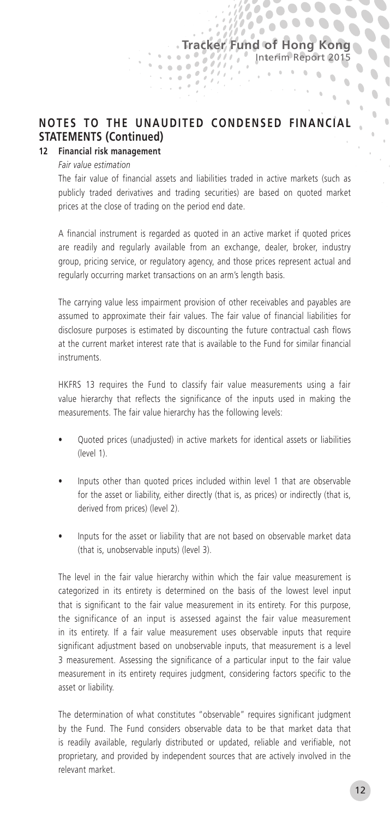b  $\alpha$ 

 $\mathbb{C}$ 

 $\mathbf{a}$ 

 $\alpha$ à

 $\mathcal{N}=\mathcal{N}=\mathcal{N}$ 

 $\overline{\phantom{a}}$ 

 $\overline{\phantom{a}}$ 

 $\overline{\phantom{a}}$ 

 $\overline{\phantom{a}}$ 

 $\begin{array}{c} \bullet \\ \bullet \end{array}$ 

 $\ddot{\phantom{a}}$  $\overline{a}$  $\lambda$ 

# **NOTES TO THE UNAUDITED CONDENSED FINANCIAL STATEMENTS (Continued)**

 $\alpha$  .  $\alpha$ 

#### **12 Financial risk management**

*Fair value estimation*

The fair value of financial assets and liabilities traded in active markets (such as publicly traded derivatives and trading securities) are based on quoted market prices at the close of trading on the period end date.

A financial instrument is regarded as quoted in an active market if quoted prices are readily and regularly available from an exchange, dealer, broker, industry group, pricing service, or regulatory agency, and those prices represent actual and regularly occurring market transactions on an arm's length basis.

The carrying value less impairment provision of other receivables and payables are assumed to approximate their fair values. The fair value of financial liabilities for disclosure purposes is estimated by discounting the future contractual cash flows at the current market interest rate that is available to the Fund for similar financial instruments.

HKFRS 13 requires the Fund to classify fair value measurements using a fair value hierarchy that reflects the significance of the inputs used in making the measurements. The fair value hierarchy has the following levels:

- Quoted prices (unadjusted) in active markets for identical assets or liabilities (level 1).
- Inputs other than quoted prices included within level 1 that are observable for the asset or liability, either directly (that is, as prices) or indirectly (that is, derived from prices) (level 2).
- Inputs for the asset or liability that are not based on observable market data (that is, unobservable inputs) (level 3).

The level in the fair value hierarchy within which the fair value measurement is categorized in its entirety is determined on the basis of the lowest level input that is significant to the fair value measurement in its entirety. For this purpose, the significance of an input is assessed against the fair value measurement in its entirety. If a fair value measurement uses observable inputs that require significant adjustment based on unobservable inputs, that measurement is a level 3 measurement. Assessing the significance of a particular input to the fair value measurement in its entirety requires judgment, considering factors specific to the asset or liability.

The determination of what constitutes "observable" requires significant judgment by the Fund. The Fund considers observable data to be that market data that is readily available, regularly distributed or updated, reliable and verifiable, not proprietary, and provided by independent sources that are actively involved in the relevant market.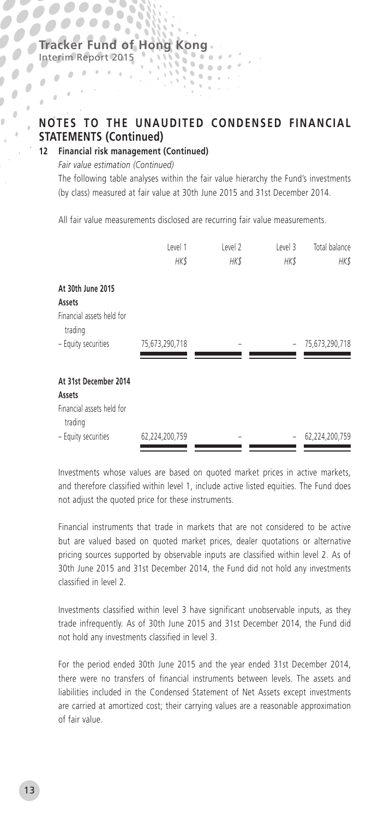Interim Report 2015

 $\frac{1}{2}$ 

 $\alpha$  .  $\theta$  $\theta$  .  $\mathbf{r}$  $\pm$  $\alpha$ 

Ď

# **NOTES TO THE UNAUDITED CONDENSED FINANCIAL STATEMENTS (Continued)**

**12 Financial risk management (Continued)**

*Fair value estimation (Continued)*

The following table analyses within the fair value hierarchy the Fund's investments (by class) measured at fair value at 30th June 2015 and 31st December 2014.

All fair value measurements disclosed are recurring fair value measurements.

|                                                              | Level 1<br><b>HK\$</b> | Level 2<br>HK\$ | Level 3<br><b>HK\$</b> | Total balance<br>HK\$ |
|--------------------------------------------------------------|------------------------|-----------------|------------------------|-----------------------|
| At 30th June 2015<br>Assets                                  |                        |                 |                        |                       |
| Financial assets held for<br>trading                         |                        |                 |                        |                       |
| - Equity securities                                          | 75,673,290,718         |                 |                        | 75,673,290,718        |
| At 31st December 2014<br>Assets<br>Financial assets held for |                        |                 |                        |                       |
| trading<br>- Equity securities                               | 62,224,200,759         |                 |                        | 62,224,200,759        |

Investments whose values are based on quoted market prices in active markets, and therefore classified within level 1, include active listed equities. The Fund does not adjust the quoted price for these instruments.

Financial instruments that trade in markets that are not considered to be active but are valued based on quoted market prices, dealer quotations or alternative pricing sources supported by observable inputs are classified within level 2. As of 30th June 2015 and 31st December 2014, the Fund did not hold any investments classified in level 2.

Investments classified within level 3 have significant unobservable inputs, as they trade infrequently. As of 30th June 2015 and 31st December 2014, the Fund did not hold any investments classified in level 3.

For the period ended 30th June 2015 and the year ended 31st December 2014, there were no transfers of financial instruments between levels. The assets and liabilities included in the Condensed Statement of Net Assets except investments are carried at amortized cost; their carrying values are a reasonable approximation of fair value.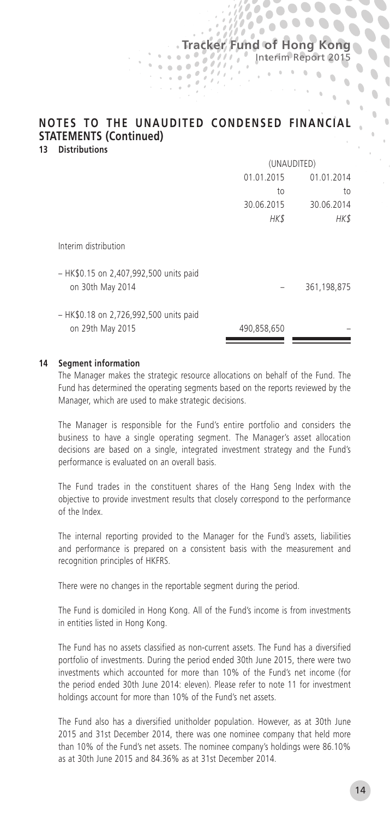# **NOTES TO THE UNAUDITED CONDENSED FINANCIAL STATEMENTS (Continued)**

**Tracker Fund of Hong Kong** 

'n

Interim Report 2015

 $\mathbf{r} = \mathbf{r} + \mathbf{r} + \mathbf{q} + \mathbf{q}$  .

 $\mathbb{C}$ 

 $\alpha$ 

 $\overline{\phantom{a}}$ 

 $\overline{\phantom{a}}$  $\overline{\phantom{a}}$ 

 $\overline{\phantom{a}}$  $\ddot{\phantom{a}}$  $\overline{a}$ 

**13 Distributions**

|                                                            | (UNAUDITED) |             |  |
|------------------------------------------------------------|-------------|-------------|--|
|                                                            | 01.01.2015  | 01.01.2014  |  |
|                                                            | to          | to          |  |
|                                                            | 30.06.2015  | 30.06.2014  |  |
|                                                            | HK\$        | HK\$        |  |
| Interim distribution                                       |             |             |  |
| - HK\$0.15 on 2,407,992,500 units paid<br>on 30th May 2014 |             | 361,198,875 |  |
| - HK\$0.18 on 2,726,992,500 units paid<br>on 29th May 2015 | 490,858,650 |             |  |

#### **14 Segment information**

The Manager makes the strategic resource allocations on behalf of the Fund. The Fund has determined the operating segments based on the reports reviewed by the Manager, which are used to make strategic decisions.

The Manager is responsible for the Fund's entire portfolio and considers the business to have a single operating segment. The Manager's asset allocation decisions are based on a single, integrated investment strategy and the Fund's performance is evaluated on an overall basis.

The Fund trades in the constituent shares of the Hang Seng Index with the objective to provide investment results that closely correspond to the performance of the Index.

The internal reporting provided to the Manager for the Fund's assets, liabilities and performance is prepared on a consistent basis with the measurement and recognition principles of HKFRS.

There were no changes in the reportable segment during the period.

The Fund is domiciled in Hong Kong. All of the Fund's income is from investments in entities listed in Hong Kong.

The Fund has no assets classified as non-current assets. The Fund has a diversified portfolio of investments. During the period ended 30th June 2015, there were two investments which accounted for more than 10% of the Fund's net income (for the period ended 30th June 2014: eleven). Please refer to note 11 for investment holdings account for more than 10% of the Fund's net assets.

The Fund also has a diversified unitholder population. However, as at 30th June 2015 and 31st December 2014, there was one nominee company that held more than 10% of the Fund's net assets. The nominee company's holdings were 86.10% as at 30th June 2015 and 84.36% as at 31st December 2014.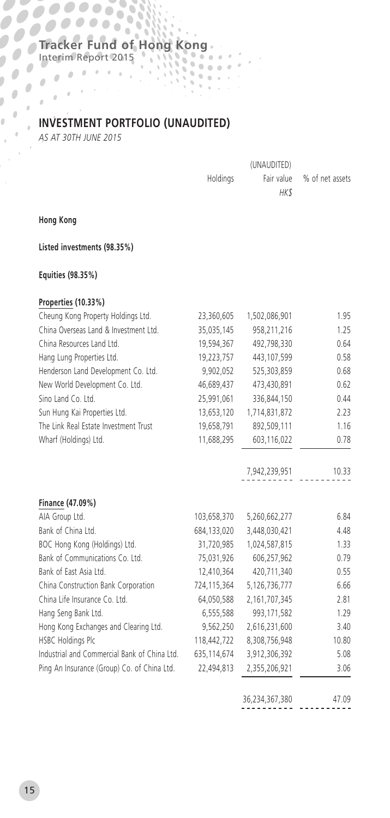53 ó

# **INVESTMENT PORTFOLIO (UNAUDITED)**

 $\Delta$ 

*AS AT 30TH JUNE 2015*

Interim Report 2015

|          | (UNAUDITED) |                            |
|----------|-------------|----------------------------|
| Holdinas |             | Fair value % of net assets |
|          | HK \$       |                            |

**Hong Kong**

J.  $\mathbf{r}$  $\Delta$  $\lambda$ 

**Listed investments (98.35%)**

#### **Equities (98.35%)**

### **Properties (10.33%)**

|             |               | 1.95                                                                    |
|-------------|---------------|-------------------------------------------------------------------------|
| 35,035,145  | 958,211,216   | 1.25                                                                    |
| 19.594.367  | 492.798.330   | 0.64                                                                    |
| 19,223,757  | 443,107,599   | 0.58                                                                    |
| 9,902,052   | 525,303,859   | 0.68                                                                    |
| 46,689,437  | 473,430,891   | 0.62                                                                    |
| 25,991,061  | 336,844,150   | 0.44                                                                    |
| 13,653,120  | 1,714,831,872 | 2.23                                                                    |
| 19,658,791  | 892,509,111   | 1.16                                                                    |
| 11,688,295  | 603,116,022   | 0.78                                                                    |
|             | 7,942,239,951 | 10.33                                                                   |
|             |               |                                                                         |
|             | 5,260,662,277 | 6.84                                                                    |
|             | 3,448,030,421 | 4.48                                                                    |
|             | 1,024,587,815 | 1.33                                                                    |
| 75,031,926  | 606,257,962   | 0.79                                                                    |
| 12.410.364  | 420.711.340   | 0.55                                                                    |
| 724,115,364 | 5,126,736,777 | 6.66                                                                    |
| 64,050,588  | 2,161,707,345 | 2.81                                                                    |
| 6,555,588   | 993,171,582   | 1.29                                                                    |
| 9,562,250   | 2,616,231,600 | 3.40                                                                    |
| 118,442,722 | 8,308,756,948 | 10.80                                                                   |
| 635,114,674 | 3,912,306,392 | 5.08                                                                    |
| 22,494,813  | 2,355,206,921 | 3.06                                                                    |
|             |               | 23,360,605<br>1,502,086,901<br>103,658,370<br>684,133,020<br>31,720,985 |

36,234,367,380 47.09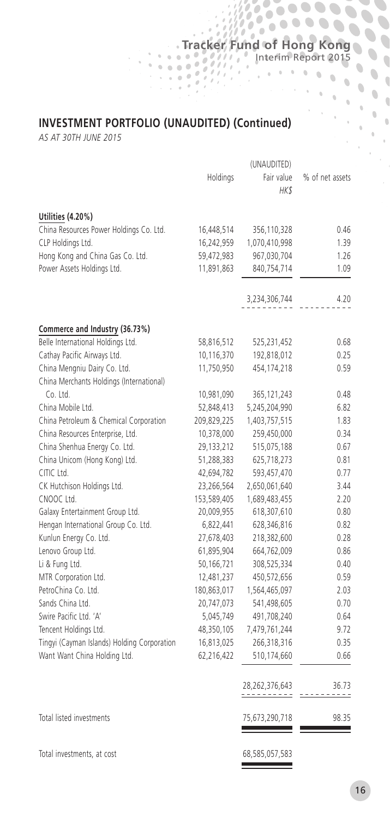Interim Report 2015

 $\alpha$  $\alpha$ 

 $\mathbf{a}$  $\mathbf{S}$ 

 $\overline{\phantom{a}}$ 

 $\mathbf{v}_0$ 

 $\theta$  $\ddot{\phantom{a}}$  $\mathbf 0$  $\overline{\mathbb{Q}}$ 

 $\ddot{\phantom{a}}$  $\bar{0}$  $\bar{0}$  $\bar{0}$ 

# **INVESTMENT PORTFOLIO (UNAUDITED) (Continued)**

 $\alpha$ 

*AS AT 30TH JUNE 2015*

|                                             |             | (UNAUDITED)         |                 |
|---------------------------------------------|-------------|---------------------|-----------------|
|                                             | Holdings    | Fair value<br>HK\$  | % of net assets |
| Utilities (4.20%)                           |             |                     |                 |
| China Resources Power Holdings Co. Ltd.     | 16,448,514  | 356,110,328         | 0.46            |
| CLP Holdings Ltd.                           | 16,242,959  | 1,070,410,998       | 1.39            |
| Hong Kong and China Gas Co. Ltd.            | 59,472,983  | 967,030,704         | 1.26            |
| Power Assets Holdings Ltd.                  | 11,891,863  | 840,754,714         | 1.09            |
|                                             |             | 3,234,306,744       | 4.20            |
| Commerce and Industry (36.73%)              |             |                     |                 |
| Belle International Holdings Ltd.           | 58,816,512  | 525,231,452         | 0.68            |
| Cathay Pacific Airways Ltd.                 | 10,116,370  | 192,818,012         | 0.25            |
| China Mengniu Dairy Co. Ltd.                | 11,750,950  | 454,174,218         | 0.59            |
| China Merchants Holdings (International)    |             |                     |                 |
| Co. Ltd.                                    | 10,981,090  | 365,121,243         | 0.48            |
| China Mobile Ltd.                           | 52,848,413  | 5,245,204,990       | 6.82            |
| China Petroleum & Chemical Corporation      | 209,829,225 | 1,403,757,515       | 1.83            |
| China Resources Enterprise, Ltd.            | 10,378,000  | 259,450,000         | 0.34            |
| China Shenhua Energy Co. Ltd.               | 29,133,212  | 515,075,188         | 0.67            |
| China Unicom (Hong Kong) Ltd.               | 51,288,383  | 625,718,273         | 0.81            |
| CITIC Ltd.                                  | 42,694,782  | 593,457,470         | 0.77            |
| CK Hutchison Holdings Ltd.                  | 23,266,564  | 2,650,061,640       | 3.44            |
| CNOOC Ltd.                                  | 153,589,405 | 1,689,483,455       | 2.20            |
| Galaxy Entertainment Group Ltd.             | 20,009,955  | 618,307,610         | 0.80            |
| Hengan International Group Co. Ltd.         | 6,822,441   | 628,346,816         | 0.82            |
| Kunlun Energy Co. Ltd.                      | 27,678,403  | 218,382,600         | 0.28            |
| Lenovo Group Ltd.                           | 61,895,904  | 664,762,009         | 0.86            |
| Li & Fung Ltd.                              | 50,166,721  | 308,525,334         | 0.40            |
| MTR Corporation Ltd.                        | 12,481,237  | 450,572,656         | 0.59            |
| PetroChina Co. Ltd.                         | 180,863,017 | 1,564,465,097       | 2.03            |
| Sands China Ltd.                            | 20,747,073  | 541,498,605         | 0.70            |
| Swire Pacific Ltd. 'A'                      | 5,045,749   | 491,708,240         | 0.64            |
| Tencent Holdings Ltd.                       | 48,350,105  | 7,479,761,244       | 9.72            |
| Tingyi (Cayman Islands) Holding Corporation | 16,813,025  | 266,318,316         | 0.35            |
| Want Want China Holding Ltd.                | 62,216,422  | 510,174,660         | 0.66            |
|                                             |             | 28,262,376,643<br>. | 36.73           |
| Total listed investments                    |             | 75,673,290,718      | 98.35           |
| Total investments, at cost                  |             | 68,585,057,583      |                 |

 $\overline{\phantom{a}}$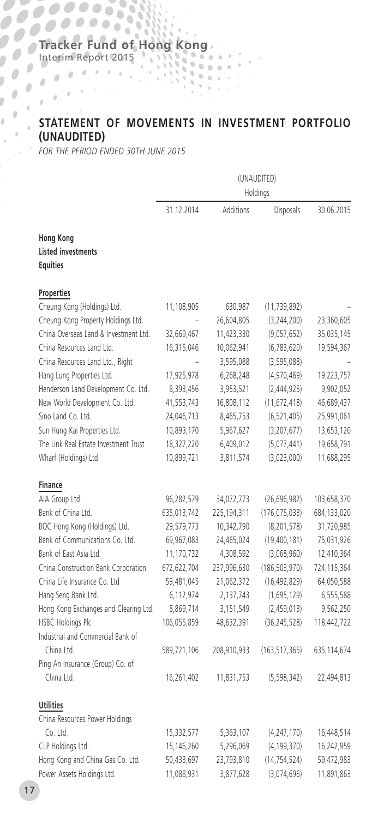Interim Report 2015

j.

# **STATEMENT OF MOVEMENTS IN INVESTMENT PORTFOLIO (UNAUDITED)** *FOR THE PERIOD ENDED 30TH JUNE 2015*

 $\mathbf{q}_i$ 

|                                                                  | (UNAUDITED)<br>Holdings |             |                 |             |
|------------------------------------------------------------------|-------------------------|-------------|-----------------|-------------|
|                                                                  | 31.12.2014              | Additions   | Disposals       | 30.06.2015  |
| <b>Hong Kong</b><br><b>Listed investments</b><br><b>Equities</b> |                         |             |                 |             |
| Properties                                                       |                         |             |                 |             |
| Cheung Kong (Holdings) Ltd.                                      | 11,108,905              | 630,987     | (11, 739, 892)  |             |
| Cheung Kong Property Holdings Ltd.                               | ÷                       | 26,604,805  | (3, 244, 200)   | 23,360,605  |
| China Overseas Land & Investment Ltd.                            | 32,669,467              | 11,423,330  | (9,057,652)     | 35,035,145  |
| China Resources Land Ltd.                                        | 16,315,046              | 10,062,941  | (6,783,620)     | 19,594,367  |
| China Resources Land Ltd., Right                                 |                         | 3,595,088   | (3,595,088)     |             |
| Hang Lung Properties Ltd.                                        | 17,925,978              | 6,268,248   | (4,970,469)     | 19,223,757  |
| Henderson Land Development Co. Ltd.                              | 8,393,456               | 3,953,521   | (2,444,925)     | 9,902,052   |
| New World Development Co. Ltd.                                   | 41,553,743              | 16,808,112  | (11,672,418)    | 46,689,437  |
| Sino Land Co. Ltd.                                               | 24,046,713              | 8,465,753   | (6, 521, 405)   | 25,991,061  |
| Sun Hung Kai Properties Ltd.                                     | 10,893,170              | 5,967,627   | (3,207,677)     | 13,653,120  |
| The Link Real Estate Investment Trust                            | 18,327,220              | 6,409,012   | (5,077,441)     | 19,658,791  |
| Wharf (Holdings) Ltd.                                            | 10,899,721              | 3,811,574   | (3,023,000)     | 11,688,295  |
| Finance                                                          |                         |             |                 |             |
| AIA Group Ltd.                                                   | 96,282,579              | 34,072,773  | (26,696,982)    | 103,658,370 |
| Bank of China Ltd.                                               | 635,013,742             | 225,194,311 | (176, 075, 033) | 684,133,020 |
| BOC Hong Kong (Holdings) Ltd.                                    | 29,579,773              | 10,342,790  | (8, 201, 578)   | 31,720,985  |
| Bank of Communications Co. Ltd.                                  | 69,967,083              | 24,465,024  | (19,400,181)    | 75,031,926  |
| Bank of East Asia Ltd.                                           | 11,170,732              | 4,308,592   | (3,068,960)     | 12,410,364  |
| China Construction Bank Corporation                              | 672,622,704             | 237,996,630 | (186, 503, 970) | 724,115,364 |
| China Life Insurance Co. Ltd                                     | 59,481,045              | 21,062,372  | (16, 492, 829)  | 64,050,588  |
| Hang Seng Bank Ltd.                                              | 6,112,974               | 2,137,743   | (1,695,129)     | 6,555,588   |
| Hong Kong Exchanges and Clearing Ltd.                            | 8,869,714               | 3,151,549   | (2,459,013)     | 9,562,250   |
| HSBC Holdings Plc                                                | 106,055,859             | 48,632,391  | (36, 245, 528)  | 118,442,722 |
| Industrial and Commercial Bank of                                |                         |             |                 |             |
| China Ltd.                                                       | 589,721,106             | 208,910,933 | (163, 517, 365) | 635,114,674 |
| Ping An Insurance (Group) Co. of                                 |                         |             |                 |             |
| China Ltd.                                                       | 16,261,402              | 11,831,753  | (5,598,342)     | 22,494,813  |
| <b>Utilities</b>                                                 |                         |             |                 |             |
| China Resources Power Holdings                                   |                         |             |                 |             |
| Co. Ltd.                                                         | 15,332,577              | 5,363,107   | (4, 247, 170)   | 16,448,514  |
| CLP Holdings Ltd.                                                | 15,146,260              | 5,296,069   | (4, 199, 370)   | 16,242,959  |
| Hong Kong and China Gas Co. Ltd.                                 | 50,433,697              | 23,793,810  | (14, 754, 524)  | 59,472,983  |
| Power Assets Holdings Ltd.                                       | 11,088,931              | 3,877,628   | (3,074,696)     | 11,891,863  |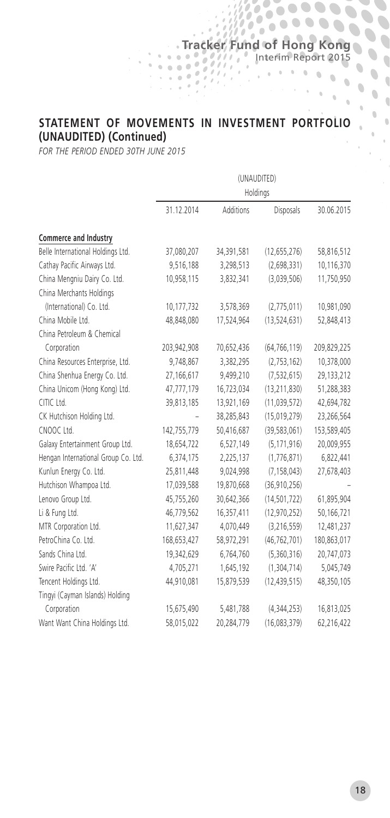$\frac{1}{2}$ 

ó.

 $\ddot{\phantom{a}}$  $\ddot{\phantom{a}}$  $\ddot{\phantom{a}}$  $\overline{\mathbb{C}}$  $\Delta$ 

 $\overline{\phantom{a}}$  $\hat{\phantom{a}}$  $\overline{\phantom{a}}$ 

 $\overline{\phantom{a}}$  $\bullet$  $\overline{\phantom{a}}$ 

 $\overline{\phantom{a}}$ 

i.

#### **STATEMENT OF MOVEMENTS IN INVESTMENT PORTFOLIO (UNAUDITED) (Continued)**

*FOR THE PERIOD ENDED 30TH JUNE 2015*

|                                     | (UNAUDITED)<br>Holdings |            |                |             |
|-------------------------------------|-------------------------|------------|----------------|-------------|
|                                     |                         |            |                |             |
|                                     | 31.12.2014              | Additions  | Disposals      | 30.06.2015  |
| Commerce and Industry               |                         |            |                |             |
| Belle International Holdings Ltd.   | 37,080,207              | 34,391,581 | (12, 655, 276) | 58,816,512  |
| Cathay Pacific Airways Ltd.         | 9,516,188               | 3,298,513  | (2,698,331)    | 10,116,370  |
| China Mengniu Dairy Co. Ltd.        | 10,958,115              | 3,832,341  | (3,039,506)    | 11,750,950  |
| China Merchants Holdings            |                         |            |                |             |
| (International) Co. Ltd.            | 10,177,732              | 3,578,369  | (2,775,011)    | 10,981,090  |
| China Mobile Ltd.                   | 48,848,080              | 17,524,964 | (13, 524, 631) | 52,848,413  |
| China Petroleum & Chemical          |                         |            |                |             |
| Corporation                         | 203,942,908             | 70,652,436 | (64, 766, 119) | 209,829,225 |
| China Resources Enterprise, Ltd.    | 9,748,867               | 3,382,295  | (2,753,162)    | 10,378,000  |
| China Shenhua Energy Co. Ltd.       | 27,166,617              | 9,499,210  | (7, 532, 615)  | 29,133,212  |
| China Unicom (Hong Kong) Ltd.       | 47,777,179              | 16,723,034 | (13, 211, 830) | 51,288,383  |
| CITIC Ltd.                          | 39,813,185              | 13,921,169 | (11, 039, 572) | 42,694,782  |
| CK Hutchison Holding Ltd.           |                         | 38,285,843 | (15,019,279)   | 23,266,564  |
| CNOOC Ltd.                          | 142,755,779             | 50,416,687 | (39, 583, 061) | 153,589,405 |
| Galaxy Entertainment Group Ltd.     | 18,654,722              | 6,527,149  | (5, 171, 916)  | 20,009,955  |
| Hengan International Group Co. Ltd. | 6,374,175               | 2,225,137  | (1,776,871)    | 6,822,441   |
| Kunlun Energy Co. Ltd.              | 25,811,448              | 9,024,998  | (7, 158, 043)  | 27,678,403  |
| Hutchison Whampoa Ltd.              | 17,039,588              | 19,870,668 | (36, 910, 256) |             |
| Lenovo Group Ltd.                   | 45,755,260              | 30,642,366 | (14, 501, 722) | 61,895,904  |
| Li & Fung Ltd.                      | 46,779,562              | 16,357,411 | (12, 970, 252) | 50,166,721  |
| MTR Corporation Ltd.                | 11,627,347              | 4,070,449  | (3, 216, 559)  | 12,481,237  |
| PetroChina Co. Ltd.                 | 168,653,427             | 58,972,291 | (46, 762, 701) | 180,863,017 |
| Sands China Ltd.                    | 19,342,629              | 6,764,760  | (5,360,316)    | 20,747,073  |
| Swire Pacific Ltd. 'A'              | 4,705,271               | 1,645,192  | (1,304,714)    | 5,045,749   |
| Tencent Holdings Ltd.               | 44,910,081              | 15,879,539 | (12, 439, 515) | 48,350,105  |
| Tingyi (Cayman Islands) Holding     |                         |            |                |             |
| Corporation                         | 15,675,490              | 5,481,788  | (4,344,253)    | 16,813,025  |
| Want Want China Holdings Ltd.       | 58,015,022              | 20,284,779 | (16,083,379)   | 62,216,422  |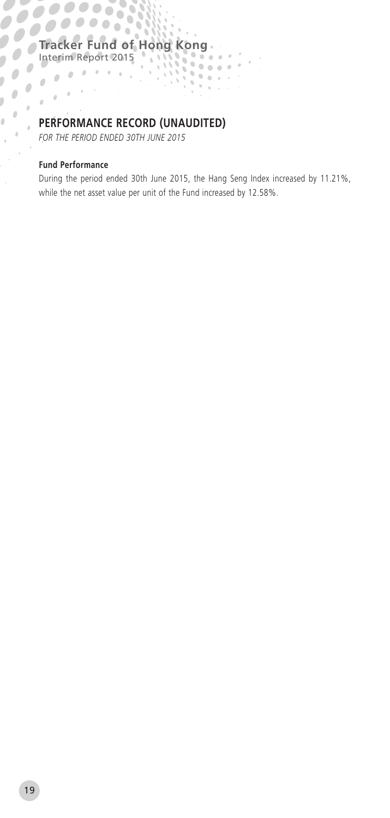88

# **PERFORMANCE RECORD (UNAUDITED)**

*FOR THE PERIOD ENDED 30TH JUNE 2015*

#### **Fund Performance**

Ĩ.  $\mathbf{r}$  $\Delta$  $\mathcal{L}_{\mathcal{A}}$  Interim Report 2015

During the period ended 30th June 2015, the Hang Seng Index increased by 11.21%, while the net asset value per unit of the Fund increased by 12.58%.

 $\sigma$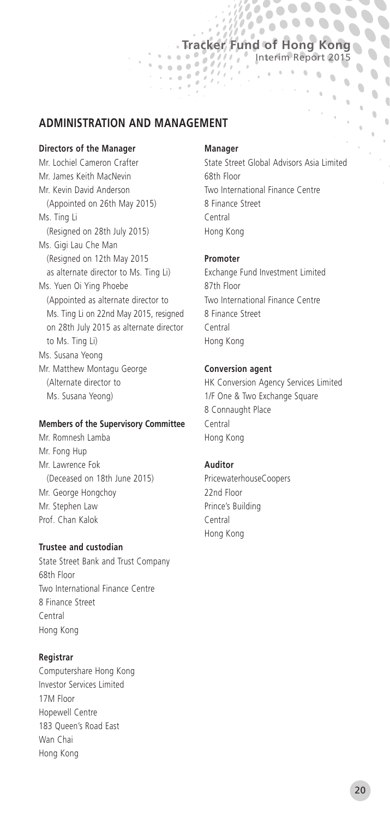# **Tracker Fund of Hong Kong** Interim Report 2015

 $\mathbf{r}$  , and  $\mathbf{r}$  , and  $\mathbf{r}$ 

'n  $\theta$ 

 $\overline{a}$ 

 $\mathbb{R}$ 

 $\overline{\phantom{a}}$ 

 $\overline{\phantom{a}}$  $\bullet$ Í  $\ddot{\phantom{a}}$  $\overline{a}$ 

 $\overline{\phantom{a}}$ 

**ADMINISTRATION AND MANAGEMENT**

#### **Directors of the Manager**

Mr. Lochiel Cameron Crafter Mr. James Keith MacNevin Mr. Kevin David Anderson (Appointed on 26th May 2015) Ms. Ting Li (Resigned on 28th July 2015) Ms. Gigi Lau Che Man (Resigned on 12th May 2015 as alternate director to Ms. Ting Li) Ms. Yuen Oi Ying Phoebe (Appointed as alternate director to Ms. Ting Li on 22nd May 2015, resigned on 28th July 2015 as alternate director to Ms. Ting Li) Ms. Susana Yeong Mr. Matthew Montagu George (Alternate director to Ms. Susana Yeong)

#### **Members of the Supervisory Committee**

Mr. Romnesh Lamba Mr. Fong Hup Mr. Lawrence Fok (Deceased on 18th June 2015) Mr. George Hongchoy Mr. Stephen Law Prof. Chan Kalok

#### **Trustee and custodian**

State Street Bank and Trust Company 68th Floor Two International Finance Centre 8 Finance Street Central Hong Kong

#### **Registrar**

Computershare Hong Kong Investor Services Limited 17M Floor Hopewell Centre 183 Queen's Road East Wan Chai Hong Kong

#### **Manager**

 $\frac{1}{2}$ 

 $\mathcal{L}$ 

State Street Global Advisors Asia Limited 68th Floor Two International Finance Centre 8 Finance Street Central Hong Kong

#### **Promoter**

Exchange Fund Investment Limited 87th Floor Two International Finance Centre 8 Finance Street Central Hong Kong

#### **Conversion agent**

HK Conversion Agency Services Limited 1/F One & Two Exchange Square 8 Connaught Place Central Hong Kong

#### **Auditor**

PricewaterhouseCoopers 22nd Floor Prince's Building Central Hong Kong